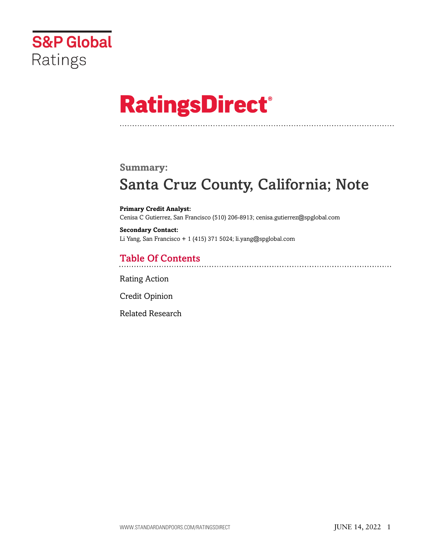

# **RatingsDirect®**

#### **Summary:**

# Santa Cruz County, California; Note

**Primary Credit Analyst:** Cenisa C Gutierrez, San Francisco (510) 206-8913; cenisa.gutierrez@spglobal.com

**Secondary Contact:** Li Yang, San Francisco + 1 (415) 371 5024; li.yang@spglobal.com

# Table Of Contents

[Rating Action](#page-1-0)

[Credit Opinion](#page-2-0)

[Related Research](#page-2-1)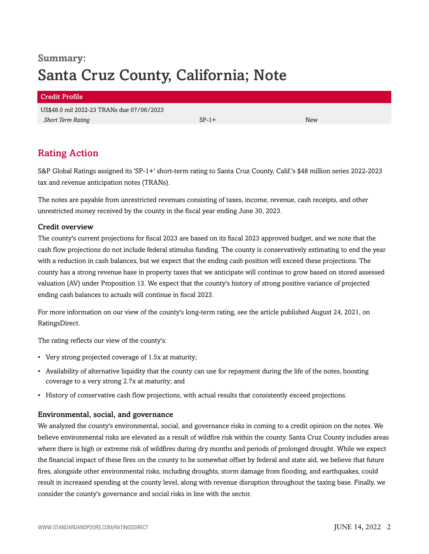# **Summary:** Santa Cruz County, California; Note

### Credit Profile US\$48.0 mil 2022-23 TRANs due 07/06/2023 *Short Term Rating* New Section 2 and SP-1+ New Section 3 and SP-1+ New Section 3 and SP-1+ New Section 3 and SP-1+ New Section 3 and SP-1+ New Section 3 and SP-1+ New Section 3 and SP-1+ New Section 3 and SP-1+ New Sectio

## <span id="page-1-0"></span>Rating Action

S&P Global Ratings assigned its 'SP-1+' short-term rating to Santa Cruz County, Calif.'s \$48 million series 2022-2023 tax and revenue anticipation notes (TRANs).

The notes are payable from unrestricted revenues consisting of taxes, income, revenue, cash receipts, and other unrestricted money received by the county in the fiscal year ending June 30, 2023.

#### Credit overview

The county's current projections for fiscal 2023 are based on its fiscal 2023 approved budget, and we note that the cash flow projections do not include federal stimulus funding. The county is conservatively estimating to end the year with a reduction in cash balances, but we expect that the ending cash position will exceed these projections. The county has a strong revenue base in property taxes that we anticipate will continue to grow based on stored assessed valuation (AV) under Proposition 13. We expect that the county's history of strong positive variance of projected ending cash balances to actuals will continue in fiscal 2023.

For more information on our view of the county's long-term rating, see the article published August 24, 2021, on RatingsDirect.

The rating reflects our view of the county's:

- Very strong projected coverage of 1.5x at maturity;
- Availability of alternative liquidity that the county can use for repayment during the life of the notes, boosting coverage to a very strong 2.7x at maturity; and
- History of conservative cash flow projections, with actual results that consistently exceed projections.

#### Environmental, social, and governance

We analyzed the county's environmental, social, and governance risks in coming to a credit opinion on the notes. We believe environmental risks are elevated as a result of wildfire risk within the county. Santa Cruz County includes areas where there is high or extreme risk of wildfires during dry months and periods of prolonged drought. While we expect the financial impact of these fires on the county to be somewhat offset by federal and state aid, we believe that future fires, alongside other environmental risks, including droughts, storm damage from flooding, and earthquakes, could result in increased spending at the county level, along with revenue disruption throughout the taxing base. Finally, we consider the county's governance and social risks in line with the sector.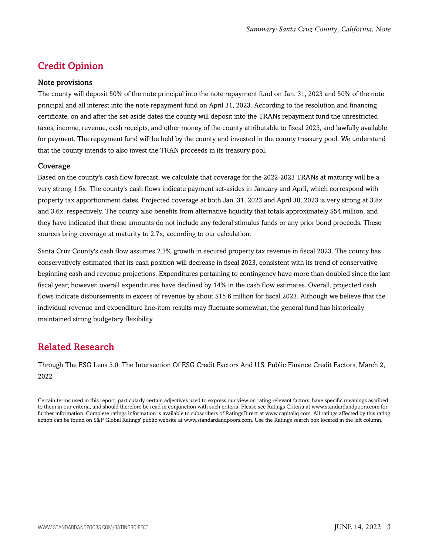# <span id="page-2-0"></span>Credit Opinion

#### Note provisions

The county will deposit 50% of the note principal into the note repayment fund on Jan. 31, 2023 and 50% of the note principal and all interest into the note repayment fund on April 31, 2023. According to the resolution and financing certificate, on and after the set-aside dates the county will deposit into the TRANs repayment fund the unrestricted taxes, income, revenue, cash receipts, and other money of the county attributable to fiscal 2023, and lawfully available for payment. The repayment fund will be held by the county and invested in the county treasury pool. We understand that the county intends to also invest the TRAN proceeds in its treasury pool.

#### Coverage

Based on the county's cash flow forecast, we calculate that coverage for the 2022-2023 TRANs at maturity will be a very strong 1.5x. The county's cash flows indicate payment set-asides in January and April, which correspond with property tax apportionment dates. Projected coverage at both Jan. 31, 2023 and April 30, 2023 is very strong at 3.8x and 3.6x, respectively. The county also benefits from alternative liquidity that totals approximately \$54 million, and they have indicated that these amounts do not include any federal stimulus funds or any prior bond proceeds. These sources bring coverage at maturity to 2.7x, according to our calculation.

Santa Cruz County's cash flow assumes 2.3% growth in secured property tax revenue in fiscal 2023. The county has conservatively estimated that its cash position will decrease in fiscal 2023, consistent with its trend of conservative beginning cash and revenue projections. Expenditures pertaining to contingency have more than doubled since the last fiscal year; however, overall expenditures have declined by 14% in the cash flow estimates. Overall, projected cash flows indicate disbursements in excess of revenue by about \$15.6 million for fiscal 2023. Although we believe that the individual revenue and expenditure line-item results may fluctuate somewhat, the general fund has historically maintained strong budgetary flexibility.

### <span id="page-2-1"></span>Related Research

Through The ESG Lens 3.0: The Intersection Of ESG Credit Factors And U.S. Public Finance Credit Factors, March 2, 2022

Certain terms used in this report, particularly certain adjectives used to express our view on rating relevant factors, have specific meanings ascribed to them in our criteria, and should therefore be read in conjunction with such criteria. Please see Ratings Criteria at www.standardandpoors.com for further information. Complete ratings information is available to subscribers of RatingsDirect at www.capitaliq.com. All ratings affected by this rating action can be found on S&P Global Ratings' public website at www.standardandpoors.com. Use the Ratings search box located in the left column.